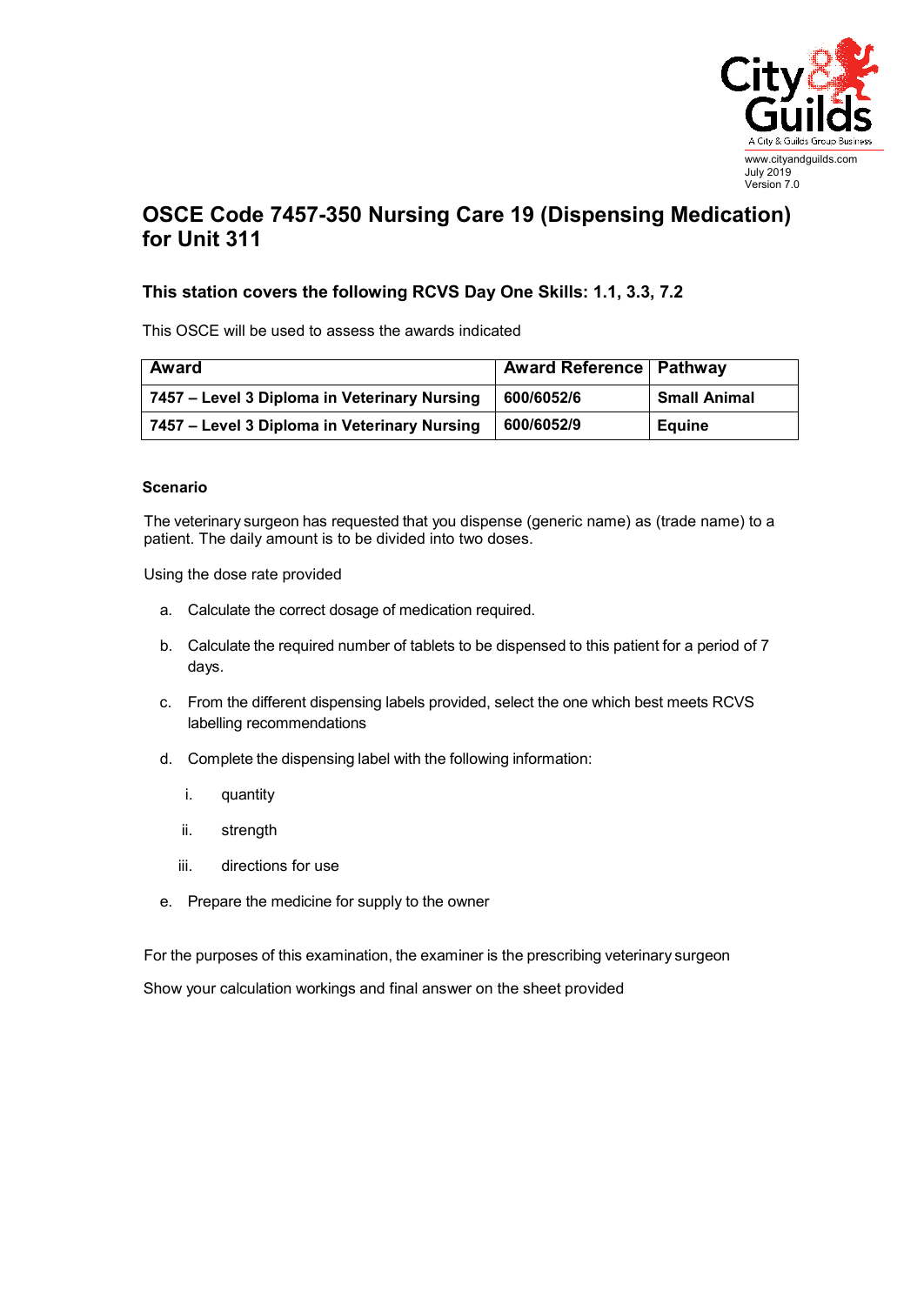

## **OSCE Code 7457-350 Nursing Care 19 (Dispensing Medication) for Unit 311**

## **This station covers the following RCVS Day One Skills: 1.1, 3.3, 7.2**

This OSCE will be used to assess the awards indicated

| Award                                        | <b>Award Reference   Pathway</b> |                     |
|----------------------------------------------|----------------------------------|---------------------|
| 7457 – Level 3 Diploma in Veterinary Nursing | 600/6052/6                       | <b>Small Animal</b> |
| 7457 - Level 3 Diploma in Veterinary Nursing | 600/6052/9                       | <b>Equine</b>       |

## **Scenario**

The veterinary surgeon has requested that you dispense (generic name) as (trade name) to a patient. The daily amount is to be divided into two doses.

Using the dose rate provided

- a. Calculate the correct dosage of medication required.
- b. Calculate the required number of tablets to be dispensed to this patient for a period of 7 days.
- c. From the different dispensing labels provided, select the one which best meets RCVS labelling recommendations
- d. Complete the dispensing label with the following information:
	- i. quantity
	- ii. strength
	- iii. directions for use
- e. Prepare the medicine for supply to the owner

For the purposes of this examination, the examiner is the prescribing veterinary surgeon

Show your calculation workings and final answer on the sheet provided